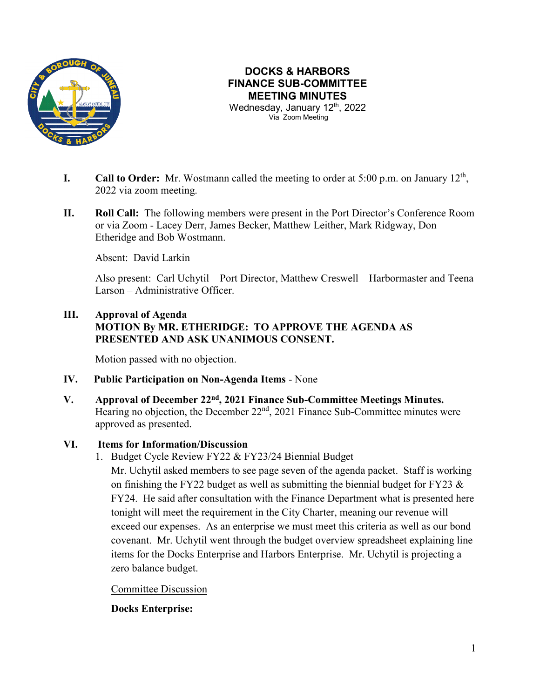

Wednesday, January 12<sup>th</sup>, 2022 Via Zoom Meeting

- **I.** Call to Order: Mr. Wostmann called the meeting to order at 5:00 p.m. on January 12<sup>th</sup>, 2022 via zoom meeting.
- **II. Roll Call:** The following members were present in the Port Director's Conference Room or via Zoom - Lacey Derr, James Becker, Matthew Leither, Mark Ridgway, Don Etheridge and Bob Wostmann.

Absent: David Larkin

Also present: Carl Uchytil – Port Director, Matthew Creswell – Harbormaster and Teena Larson – Administrative Officer.

## **III. Approval of Agenda MOTION By MR. ETHERIDGE: TO APPROVE THE AGENDA AS PRESENTED AND ASK UNANIMOUS CONSENT.**

Motion passed with no objection.

- **IV. Public Participation on Non-Agenda Items** None
- **V. Approval of December 22nd, 2021 Finance Sub-Committee Meetings Minutes.** Hearing no objection, the December 22<sup>nd</sup>, 2021 Finance Sub-Committee minutes were approved as presented.

### **VI. Items for Information/Discussion**

1. Budget Cycle Review FY22 & FY23/24 Biennial Budget

Mr. Uchytil asked members to see page seven of the agenda packet. Staff is working on finishing the FY22 budget as well as submitting the biennial budget for FY23  $\&$ FY24. He said after consultation with the Finance Department what is presented here tonight will meet the requirement in the City Charter, meaning our revenue will exceed our expenses. As an enterprise we must meet this criteria as well as our bond covenant. Mr. Uchytil went through the budget overview spreadsheet explaining line items for the Docks Enterprise and Harbors Enterprise. Mr. Uchytil is projecting a zero balance budget.

#### Committee Discussion

### **Docks Enterprise:**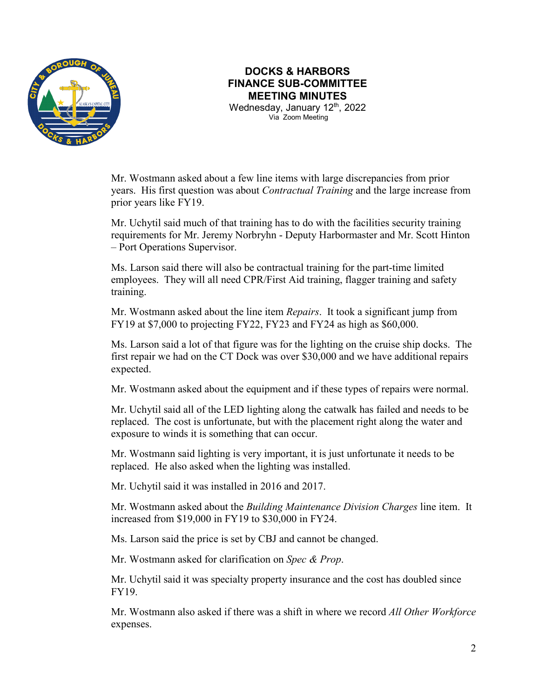

Wednesday, January 12<sup>th</sup>, 2022 Via Zoom Meeting

Mr. Wostmann asked about a few line items with large discrepancies from prior years. His first question was about *Contractual Training* and the large increase from prior years like FY19.

Mr. Uchytil said much of that training has to do with the facilities security training requirements for Mr. Jeremy Norbryhn - Deputy Harbormaster and Mr. Scott Hinton – Port Operations Supervisor.

Ms. Larson said there will also be contractual training for the part-time limited employees. They will all need CPR/First Aid training, flagger training and safety training.

Mr. Wostmann asked about the line item *Repairs*. It took a significant jump from FY19 at \$7,000 to projecting FY22, FY23 and FY24 as high as \$60,000.

Ms. Larson said a lot of that figure was for the lighting on the cruise ship docks. The first repair we had on the CT Dock was over \$30,000 and we have additional repairs expected.

Mr. Wostmann asked about the equipment and if these types of repairs were normal.

Mr. Uchytil said all of the LED lighting along the catwalk has failed and needs to be replaced. The cost is unfortunate, but with the placement right along the water and exposure to winds it is something that can occur.

Mr. Wostmann said lighting is very important, it is just unfortunate it needs to be replaced. He also asked when the lighting was installed.

Mr. Uchytil said it was installed in 2016 and 2017.

Mr. Wostmann asked about the *Building Maintenance Division Charges* line item. It increased from \$19,000 in FY19 to \$30,000 in FY24.

Ms. Larson said the price is set by CBJ and cannot be changed.

Mr. Wostmann asked for clarification on *Spec & Prop*.

Mr. Uchytil said it was specialty property insurance and the cost has doubled since FY19.

Mr. Wostmann also asked if there was a shift in where we record *All Other Workforce* expenses.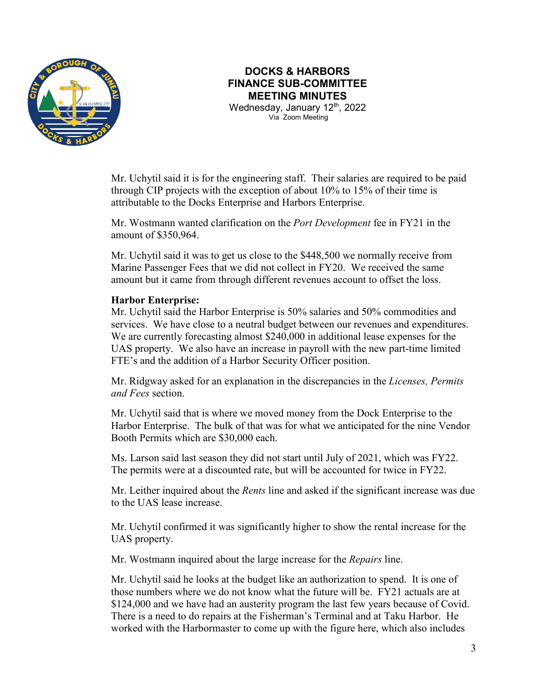

Wednesday, January 12<sup>th</sup>, 2022 Via Zoom Meeting

Mr. Uchytil said it is for the engineering staff. Their salaries are required to be paid through CIP projects with the exception of about 10% to 15% of their time is attributable to the Docks Enterprise and Harbors Enterprise.

Mr. Wostmann wanted clarification on the *Port Development* fee in FY21 in the amount of \$350,964.

Mr. Uchytil said it was to get us close to the \$448,500 we normally receive from Marine Passenger Fees that we did not collect in FY20. We received the same amount but it came from through different revenues account to offset the loss.

#### **Harbor Enterprise:**

Mr. Uchytil said the Harbor Enterprise is 50% salaries and 50% commodities and services. We have close to a neutral budget between our revenues and expenditures. We are currently forecasting almost \$240,000 in additional lease expenses for the UAS property. We also have an increase in payroll with the new part-time limited FTE's and the addition of a Harbor Security Officer position.

Mr. Ridgway asked for an explanation in the discrepancies in the *Licenses, Permits and Fees* section.

Mr. Uchytil said that is where we moved money from the Dock Enterprise to the Harbor Enterprise. The bulk of that was for what we anticipated for the nine Vendor Booth Permits which are \$30,000 each.

Ms. Larson said last season they did not start until July of 2021, which was FY22. The permits were at a discounted rate, but will be accounted for twice in FY22.

Mr. Leither inquired about the *Rents* line and asked if the significant increase was due to the UAS lease increase.

Mr. Uchytil confirmed it was significantly higher to show the rental increase for the UAS property.

Mr. Wostmann inquired about the large increase for the *Repairs* line.

Mr. Uchytil said he looks at the budget like an authorization to spend. It is one of those numbers where we do not know what the future will be. FY21 actuals are at \$124,000 and we have had an austerity program the last few years because of Covid. There is a need to do repairs at the Fisherman's Terminal and at Taku Harbor. He worked with the Harbormaster to come up with the figure here, which also includes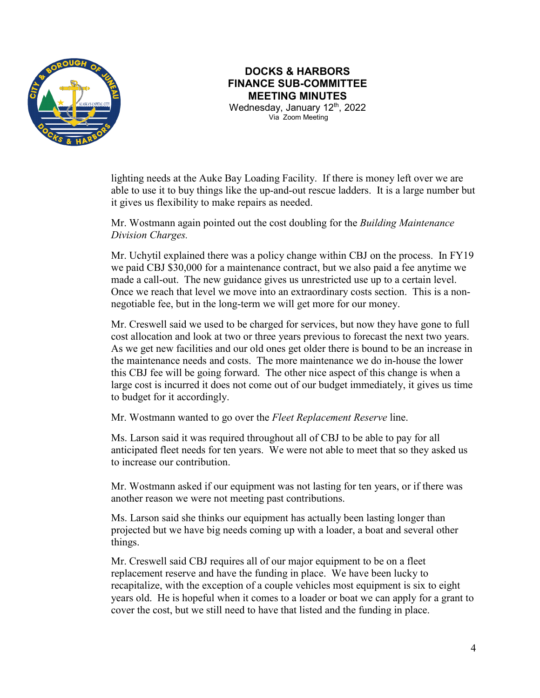

Wednesday, January 12<sup>th</sup>, 2022 Via Zoom Meeting

lighting needs at the Auke Bay Loading Facility. If there is money left over we are able to use it to buy things like the up-and-out rescue ladders. It is a large number but it gives us flexibility to make repairs as needed.

Mr. Wostmann again pointed out the cost doubling for the *Building Maintenance Division Charges.*

Mr. Uchytil explained there was a policy change within CBJ on the process. In FY19 we paid CBJ \$30,000 for a maintenance contract, but we also paid a fee anytime we made a call-out. The new guidance gives us unrestricted use up to a certain level. Once we reach that level we move into an extraordinary costs section. This is a nonnegotiable fee, but in the long-term we will get more for our money.

Mr. Creswell said we used to be charged for services, but now they have gone to full cost allocation and look at two or three years previous to forecast the next two years. As we get new facilities and our old ones get older there is bound to be an increase in the maintenance needs and costs. The more maintenance we do in-house the lower this CBJ fee will be going forward. The other nice aspect of this change is when a large cost is incurred it does not come out of our budget immediately, it gives us time to budget for it accordingly.

Mr. Wostmann wanted to go over the *Fleet Replacement Reserve* line.

Ms. Larson said it was required throughout all of CBJ to be able to pay for all anticipated fleet needs for ten years. We were not able to meet that so they asked us to increase our contribution.

Mr. Wostmann asked if our equipment was not lasting for ten years, or if there was another reason we were not meeting past contributions.

Ms. Larson said she thinks our equipment has actually been lasting longer than projected but we have big needs coming up with a loader, a boat and several other things.

Mr. Creswell said CBJ requires all of our major equipment to be on a fleet replacement reserve and have the funding in place. We have been lucky to recapitalize, with the exception of a couple vehicles most equipment is six to eight years old. He is hopeful when it comes to a loader or boat we can apply for a grant to cover the cost, but we still need to have that listed and the funding in place.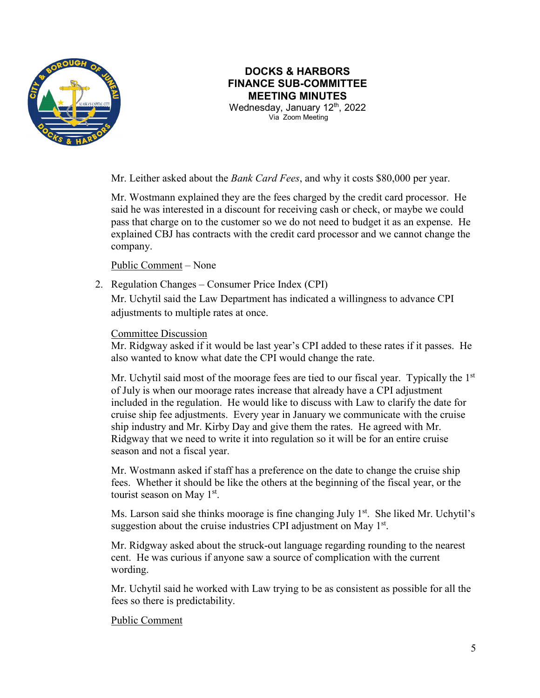

Wednesday, January 12<sup>th</sup>, 2022 Via Zoom Meeting

Mr. Leither asked about the *Bank Card Fees*, and why it costs \$80,000 per year.

Mr. Wostmann explained they are the fees charged by the credit card processor. He said he was interested in a discount for receiving cash or check, or maybe we could pass that charge on to the customer so we do not need to budget it as an expense. He explained CBJ has contracts with the credit card processor and we cannot change the company.

Public Comment – None

2. Regulation Changes – Consumer Price Index (CPI)

Mr. Uchytil said the Law Department has indicated a willingness to advance CPI adjustments to multiple rates at once.

#### Committee Discussion

Mr. Ridgway asked if it would be last year's CPI added to these rates if it passes. He also wanted to know what date the CPI would change the rate.

Mr. Uchytil said most of the moorage fees are tied to our fiscal year. Typically the  $1<sup>st</sup>$ of July is when our moorage rates increase that already have a CPI adjustment included in the regulation. He would like to discuss with Law to clarify the date for cruise ship fee adjustments. Every year in January we communicate with the cruise ship industry and Mr. Kirby Day and give them the rates. He agreed with Mr. Ridgway that we need to write it into regulation so it will be for an entire cruise season and not a fiscal year.

Mr. Wostmann asked if staff has a preference on the date to change the cruise ship fees. Whether it should be like the others at the beginning of the fiscal year, or the tourist season on May  $1<sup>st</sup>$ .

Ms. Larson said she thinks moorage is fine changing July  $1<sup>st</sup>$ . She liked Mr. Uchytil's suggestion about the cruise industries CPI adjustment on May  $1<sup>st</sup>$ .

Mr. Ridgway asked about the struck-out language regarding rounding to the nearest cent. He was curious if anyone saw a source of complication with the current wording.

Mr. Uchytil said he worked with Law trying to be as consistent as possible for all the fees so there is predictability.

#### Public Comment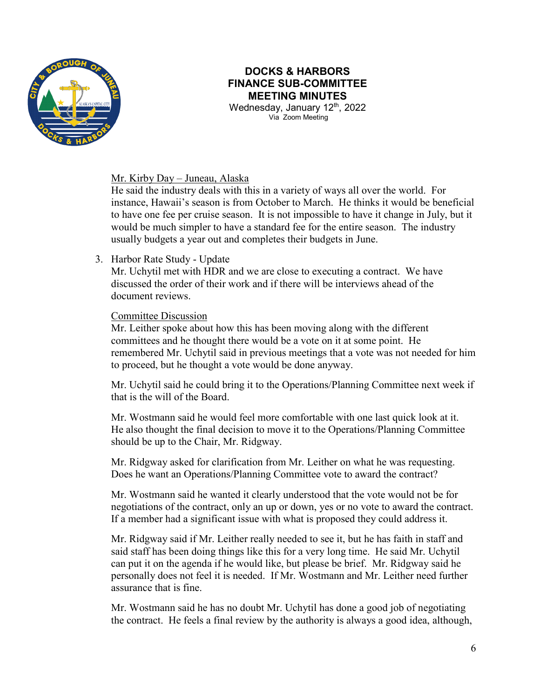

Wednesday, January 12<sup>th</sup>, 2022 Via Zoom Meeting

Mr. Kirby Day – Juneau, Alaska

He said the industry deals with this in a variety of ways all over the world. For instance, Hawaii's season is from October to March. He thinks it would be beneficial to have one fee per cruise season. It is not impossible to have it change in July, but it would be much simpler to have a standard fee for the entire season. The industry usually budgets a year out and completes their budgets in June.

3. Harbor Rate Study - Update

Mr. Uchytil met with HDR and we are close to executing a contract. We have discussed the order of their work and if there will be interviews ahead of the document reviews.

Committee Discussion

Mr. Leither spoke about how this has been moving along with the different committees and he thought there would be a vote on it at some point. He remembered Mr. Uchytil said in previous meetings that a vote was not needed for him to proceed, but he thought a vote would be done anyway.

Mr. Uchytil said he could bring it to the Operations/Planning Committee next week if that is the will of the Board.

Mr. Wostmann said he would feel more comfortable with one last quick look at it. He also thought the final decision to move it to the Operations/Planning Committee should be up to the Chair, Mr. Ridgway.

Mr. Ridgway asked for clarification from Mr. Leither on what he was requesting. Does he want an Operations/Planning Committee vote to award the contract?

Mr. Wostmann said he wanted it clearly understood that the vote would not be for negotiations of the contract, only an up or down, yes or no vote to award the contract. If a member had a significant issue with what is proposed they could address it.

Mr. Ridgway said if Mr. Leither really needed to see it, but he has faith in staff and said staff has been doing things like this for a very long time. He said Mr. Uchytil can put it on the agenda if he would like, but please be brief. Mr. Ridgway said he personally does not feel it is needed. If Mr. Wostmann and Mr. Leither need further assurance that is fine.

Mr. Wostmann said he has no doubt Mr. Uchytil has done a good job of negotiating the contract. He feels a final review by the authority is always a good idea, although,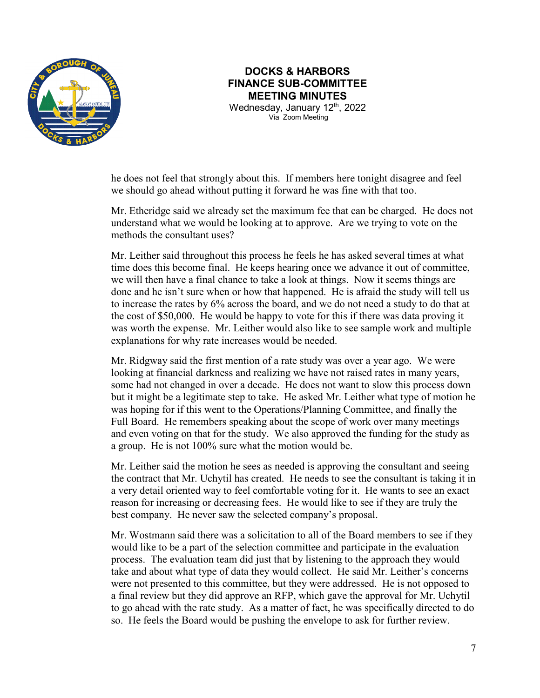

Wednesday, January 12<sup>th</sup>, 2022 Via Zoom Meeting

he does not feel that strongly about this. If members here tonight disagree and feel we should go ahead without putting it forward he was fine with that too.

Mr. Etheridge said we already set the maximum fee that can be charged. He does not understand what we would be looking at to approve. Are we trying to vote on the methods the consultant uses?

Mr. Leither said throughout this process he feels he has asked several times at what time does this become final. He keeps hearing once we advance it out of committee, we will then have a final chance to take a look at things. Now it seems things are done and he isn't sure when or how that happened. He is afraid the study will tell us to increase the rates by 6% across the board, and we do not need a study to do that at the cost of \$50,000. He would be happy to vote for this if there was data proving it was worth the expense. Mr. Leither would also like to see sample work and multiple explanations for why rate increases would be needed.

Mr. Ridgway said the first mention of a rate study was over a year ago. We were looking at financial darkness and realizing we have not raised rates in many years, some had not changed in over a decade. He does not want to slow this process down but it might be a legitimate step to take. He asked Mr. Leither what type of motion he was hoping for if this went to the Operations/Planning Committee, and finally the Full Board. He remembers speaking about the scope of work over many meetings and even voting on that for the study. We also approved the funding for the study as a group. He is not 100% sure what the motion would be.

Mr. Leither said the motion he sees as needed is approving the consultant and seeing the contract that Mr. Uchytil has created. He needs to see the consultant is taking it in a very detail oriented way to feel comfortable voting for it. He wants to see an exact reason for increasing or decreasing fees. He would like to see if they are truly the best company. He never saw the selected company's proposal.

Mr. Wostmann said there was a solicitation to all of the Board members to see if they would like to be a part of the selection committee and participate in the evaluation process. The evaluation team did just that by listening to the approach they would take and about what type of data they would collect. He said Mr. Leither's concerns were not presented to this committee, but they were addressed. He is not opposed to a final review but they did approve an RFP, which gave the approval for Mr. Uchytil to go ahead with the rate study. As a matter of fact, he was specifically directed to do so. He feels the Board would be pushing the envelope to ask for further review.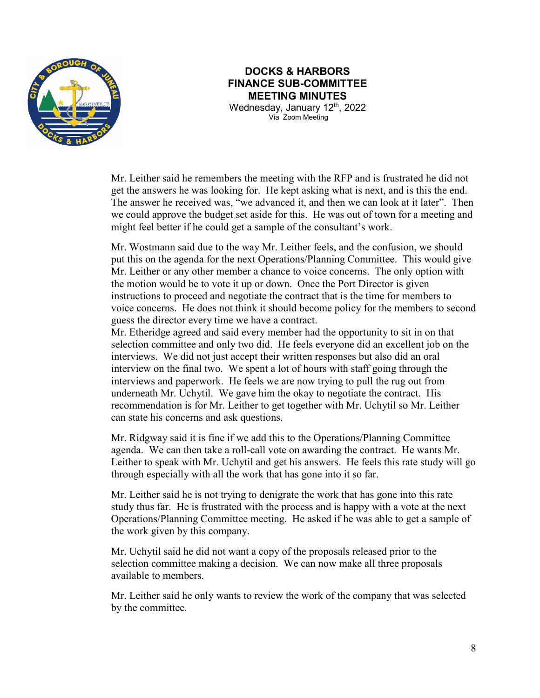

Wednesday, January 12<sup>th</sup>, 2022 Via Zoom Meeting

Mr. Leither said he remembers the meeting with the RFP and is frustrated he did not get the answers he was looking for. He kept asking what is next, and is this the end. The answer he received was, "we advanced it, and then we can look at it later". Then we could approve the budget set aside for this. He was out of town for a meeting and might feel better if he could get a sample of the consultant's work.

Mr. Wostmann said due to the way Mr. Leither feels, and the confusion, we should put this on the agenda for the next Operations/Planning Committee. This would give Mr. Leither or any other member a chance to voice concerns. The only option with the motion would be to vote it up or down. Once the Port Director is given instructions to proceed and negotiate the contract that is the time for members to voice concerns. He does not think it should become policy for the members to second guess the director every time we have a contract.

Mr. Etheridge agreed and said every member had the opportunity to sit in on that selection committee and only two did. He feels everyone did an excellent job on the interviews. We did not just accept their written responses but also did an oral interview on the final two. We spent a lot of hours with staff going through the interviews and paperwork. He feels we are now trying to pull the rug out from underneath Mr. Uchytil. We gave him the okay to negotiate the contract. His recommendation is for Mr. Leither to get together with Mr. Uchytil so Mr. Leither can state his concerns and ask questions.

Mr. Ridgway said it is fine if we add this to the Operations/Planning Committee agenda. We can then take a roll-call vote on awarding the contract. He wants Mr. Leither to speak with Mr. Uchytil and get his answers. He feels this rate study will go through especially with all the work that has gone into it so far.

Mr. Leither said he is not trying to denigrate the work that has gone into this rate study thus far. He is frustrated with the process and is happy with a vote at the next Operations/Planning Committee meeting. He asked if he was able to get a sample of the work given by this company.

Mr. Uchytil said he did not want a copy of the proposals released prior to the selection committee making a decision. We can now make all three proposals available to members.

Mr. Leither said he only wants to review the work of the company that was selected by the committee.